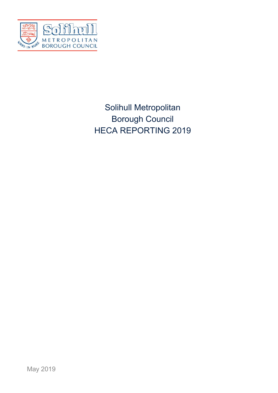

# Solihull Metropolitan Borough Council HECA REPORTING 2019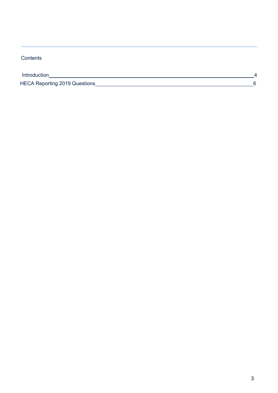## **Contents**

| Introduction |                                      |  |
|--------------|--------------------------------------|--|
|              | <b>HECA Reporting 2019 Questions</b> |  |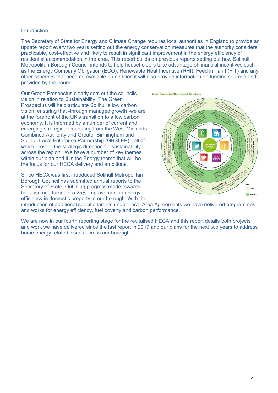#### <span id="page-2-0"></span>**Introduction**

The Secretary of State for Energy and Climate Change requires local authorities in England to provide an update report every two years setting out the energy conservation measures that the authority considers practicable, cost-effective and likely to result in significant improvement in the energy efficiency of residential accommodation in the area. This report builds on previous reports setting out how Solihull Metropolitan Borough Council intends to help householders take advantage of financial incentives such as the Energy Company Obligation (ECO), Renewable Heat Incentive (RHI), Feed in Tariff (FIT) and any other schemes that became available. In addition it will also provide information on funding sourced and provided by the council.

Our Green Prospectus clearly sets out the councils vision in relation to Sustainability. The Green Prospectus will help articulate Solihull's low carbon vision, ensuring that -through managed growth -we are at the forefront of the UK's transition to a low carbon economy. It is informed by a number of current and emerging strategies emanating from the West Midlands Combined Authority and Greater Birmingham and Solihull Local Enterprise Partnership (GBSLEP) - all of which provide the strategic direction for sustainability across the region. We have a number of key themes within our plan and it is the Energy theme that will be the focus for our HECA delivery and ambitions.

Since HECA was first introduced Solihull Metropolitan Borough Council has submitted annual reports to the Secretary of State. Outlining progress made towards the assumed target of a 25% improvement in energy efficiency in domestic property in our borough. With the



introduction of additional specific targets under Local Area Agreements we have delivered programmes and works for energy efficiency, fuel poverty and carbon performance.

We are now in our fourth reporting stage for the revitalised HECA and this report details both projects and work we have delivered since the last report in 2017 and our plans for the next two years to address home energy related issues across our borough.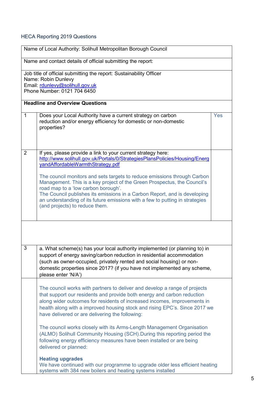## <span id="page-3-0"></span>HECA Reporting 2019 Questions

|                                                             | Name of Local Authority: Solihull Metropolitan Borough Council                                                                                                                                                                                                                                                                                                                                                                                                                                                                                                               |     |
|-------------------------------------------------------------|------------------------------------------------------------------------------------------------------------------------------------------------------------------------------------------------------------------------------------------------------------------------------------------------------------------------------------------------------------------------------------------------------------------------------------------------------------------------------------------------------------------------------------------------------------------------------|-----|
| Name and contact details of official submitting the report: |                                                                                                                                                                                                                                                                                                                                                                                                                                                                                                                                                                              |     |
|                                                             | Job title of official submitting the report: Sustainability Officer<br>Name: Robin Dunlevy<br>Email: rdunlevy@solihull.gov.uk<br>Phone Number: 0121 704 6450                                                                                                                                                                                                                                                                                                                                                                                                                 |     |
|                                                             | <b>Headline and Overview Questions</b>                                                                                                                                                                                                                                                                                                                                                                                                                                                                                                                                       |     |
| $\mathbf{1}$                                                | Does your Local Authority have a current strategy on carbon<br>reduction and/or energy efficiency for domestic or non-domestic<br>properties?                                                                                                                                                                                                                                                                                                                                                                                                                                | Yes |
| $\overline{2}$                                              | If yes, please provide a link to your current strategy here:<br>http://www.solihull.gov.uk/Portals/0/StrategiesPlansPolicies/Housing/Energ<br>yandAffordableWarmthStrategy.pdf<br>The council monitors and sets targets to reduce emissions through Carbon<br>Management. This is a key project of the Green Prospectus, the Council's<br>road map to a 'low carbon borough'.<br>The Council publishes its emissions in a Carbon Report, and is developing<br>an understanding of its future emissions with a few to putting in strategies<br>(and projects) to reduce them. |     |
|                                                             |                                                                                                                                                                                                                                                                                                                                                                                                                                                                                                                                                                              |     |
| 3                                                           | a. What scheme(s) has your local authority implemented (or planning to) in<br>support of energy saving/carbon reduction in residential accommodation<br>(such as owner-occupied, privately rented and social housing) or non-<br>domestic properties since 2017? (if you have not implemented any scheme,<br>please enter 'N/A')                                                                                                                                                                                                                                             |     |
|                                                             | The council works with partners to deliver and develop a range of projects<br>that support our residents and provide both energy and carbon reduction<br>along wider outcomes for residents of increased incomes, improvements in<br>health along with a improved housing stock and rising EPC's. Since 2017 we<br>have delivered or are delivering the following:                                                                                                                                                                                                           |     |
|                                                             | The council works closely with its Arms-Length Management Organisation<br>(ALMO) Solihull Community Housing (SCH). During this reporting period the<br>following energy efficiency measures have been installed or are being<br>delivered or planned:                                                                                                                                                                                                                                                                                                                        |     |
|                                                             | <b>Heating upgrades</b><br>We have continued with our programme to upgrade older less efficient heating<br>systems with 384 new boilers and heating systems installed                                                                                                                                                                                                                                                                                                                                                                                                        |     |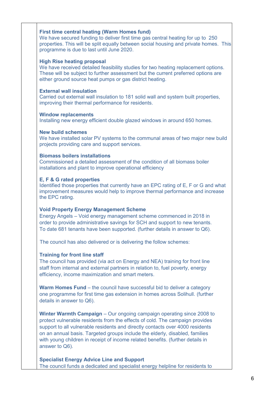#### **First time central heating (Warm Homes fund)**

We have secured funding to deliver first time gas central heating for up to 250 properties. This will be split equally between social housing and private homes. This programme is due to last until June 2020.

#### **High Rise heating proposal**

We have received detailed feasibility studies for two heating replacement options. These will be subject to further assessment but the current preferred options are either ground source heat pumps or gas district heating.

#### **External wall insulation**

Carried out external wall insulation to 181 solid wall and system built properties, improving their thermal performance for residents.

#### **Window replacements**

Installing new energy efficient double glazed windows in around 650 homes.

#### **New build schemes**

We have installed solar PV systems to the communal areas of two major new build projects providing care and support services.

#### **Biomass boilers installations**

Commissioned a detailed assessment of the condition of all biomass boiler installations and plant to improve operational efficiency

#### **E, F & G rated properties**

Identified those properties that currently have an EPC rating of E, F or G and what improvement measures would help to improve thermal performance and increase the EPC rating.

#### **Void Property Energy Management Scheme**

Energy Angels – Void energy management scheme commenced in 2018 in order to provide administrative savings for SCH and support to new tenants. To date 681 tenants have been supported. (further details in answer to Q6).

The council has also delivered or is delivering the follow schemes:

#### **Training for front line staff**

The council has provided (via act on Energy and NEA) training for front line staff from internal and external partners in relation to, fuel poverty, energy efficiency, income maximization and smart meters.

**Warm Homes Fund** – the council have successful bid to deliver a category one programme for first time gas extension in homes across Solihull. (further details in answer to Q6).

**Winter Warmth Campaign** – Our ongoing campaign operating since 2008 to protect vulnerable residents from the effects of cold. The campaign provides support to all vulnerable residents and directly contacts over 4000 residents on an annual basis. Targeted groups include the elderly, disabled, families with young children in receipt of income related benefits. (further details in answer to Q6).

**Specialist Energy Advice Line and Support** The council funds a dedicated and specialist energy helpline for residents to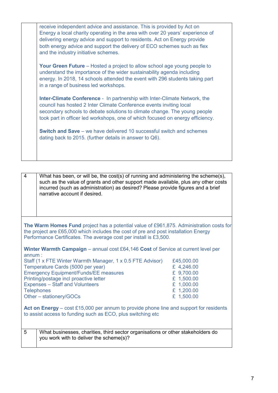| receive independent advice and assistance. This is provided by Act on<br>Energy a local charity operating in the area with over 20 years' experience of<br>delivering energy advice and support to residents. Act on Energy provide<br>both energy advice and support the delivery of ECO schemes such as flex<br>and the industry initiative schemes. |
|--------------------------------------------------------------------------------------------------------------------------------------------------------------------------------------------------------------------------------------------------------------------------------------------------------------------------------------------------------|
| <b>Your Green Future</b> – Hosted a project to allow school age young people to<br>understand the importance of the wider sustainability agenda including<br>energy. In 2018, 14 schools attended the event with 296 students taking part<br>in a range of business led workshops.                                                                     |
| <b>Inter-Climate Conference -</b> In partnership with Inter-Climate Network, the<br>council has hosted 2 Inter Climate Conference events inviting local<br>secondary schools to debate solutions to climate change. The young people<br>took part in officer led workshops, one of which focused on energy efficiency.                                 |
| <b>Switch and Save</b> – we have delivered 10 successful switch and schemes<br>dating back to 2015. (further details in answer to Q6).                                                                                                                                                                                                                 |

| What has been, or will be, the cost(s) of running and administering the scheme(s), |
|------------------------------------------------------------------------------------|
| such as the value of grants and other support made available, plus any other costs |
| incurred (such as administration) as desired? Please provide figures and a brief   |
| narrative account if desired.                                                      |
|                                                                                    |

**The Warm Homes Fund** project has a potential value of £961,875. Administration costs for the project are £65,000 which includes the cost of pre and post installation Energy Performance Certificates. The average cost per install is £3,500.

**Winter Warmth Campaign** – annual cost £64,146 **Cost** of Service at current level per annum :

| Staff (1 x FTE Winter Warmth Manager, 1 x 0.5 FTE Advisor) | £45,000.00 |
|------------------------------------------------------------|------------|
| Temperature Cards (5000 per year)                          | £ 4,246.00 |
| <b>Emergency Equipment/Funds/EE measures</b>               | £ 9,700.00 |
| Printing/postage incl proactive letter                     | £ 1,500.00 |
| <b>Expenses - Staff and Volunteers</b>                     | £ 1,000.00 |
| <b>Telephones</b>                                          | £ 1,200.00 |
| Other – stationery/GOCs                                    | £ 1,500.00 |

**Act on Energy** – cost £15,000 per annum to provide phone line and support for residents to assist access to funding such as ECO, plus switching etc

5 What businesses, charities, third sector organisations or other stakeholders do you work with to deliver the scheme(s)?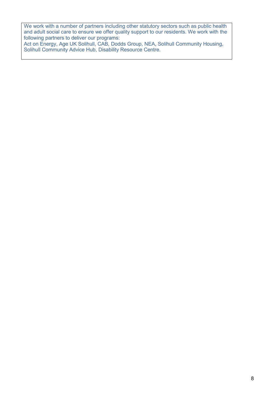We work with a number of partners including other statutory sectors such as public health and adult social care to ensure we offer quality support to our residents. We work with the following partners to deliver our programs:

Act on Energy, Age UK Solihull, CAB, Dodds Group, NEA, Solihull Community Housing, Solihull Community Advice Hub, Disability Resource Centre.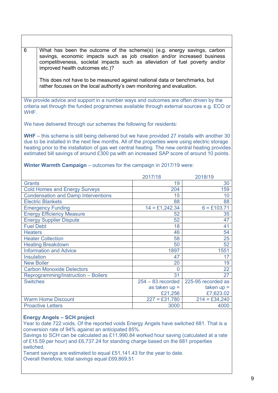savings, economic impacts such as job creation and/or increased business competitiveness, societal impacts such as alleviation of fuel poverty and/or improved health outcomes etc.)? This does not have to be measured against national data or benchmarks, but rather focuses on the local authority's own monitoring and evaluation. We provide advice and support in a number ways and outcomes are often driven by the criteria set through the funded programmes available through external sources e.g. ECO or WHF. We have delivered through our schemes the following for residents: **WHF** – this scheme is still being delivered but we have provided 27 installs with another 30 due to be installed in the next few months. All of the properties were using electric storage heating prior to the installation of gas wet central heating. The new central heating provides estimated bill savings of around £300 pa with an increased SAP score of around 10 points. **Winter Warmth Campaign** – outcomes for the campaign in 2017/19 were: 2017/18 2018/19 Grants 30 Cold Homes and Energy Surveys 159 Condensation and Damp Interventions 15 10 Electric Blankets 88<br>
Emergency Funding 14 = £1.242.34 6 = £103.71 **Emergency Funding** Energy Efficiency Measure 52 35 Energy Supplier Dispute 52 47<br>
Fuel Debt 41 Fuel Debt 41 Heaters 54 54 Expedience Leater Collection 58 25<br>
Heating Breakdown 50 52 Heating Breakdown 50 Information and Advice 1897 1897 1551 Insulation 17 17 New Boiler 20 19 Carbon Monoxide Detectors 0 22<br>Reprogramming/Instruction – Boilers 31 27 Reprogramming/Instruction – Boilers 31<br>Switches 31<br>254 – 83 recorded  $254 - 83$  recorded as taken up =  $\frac{\text{£}21,256}{227 = \text{£}31,780}$ 225-95 recorded as taken up =  $£7,623.02$ <br> $214 = £34.240$ Warm Home Discount Proactive Letters **1** 3000 4000

6 What has been the outcome of the scheme(s) (e.g. energy savings, carbon

## **Energy Angels – SCH project**

Year to date 722 voids. Of the reported voids Energy Angels have switched 681. That is a conversion rate of 94% against an anticipated 85%.

Savings to SCH can be calculated as £11,990.84 worked hour saving (calculated at a rate of £15.59 per hour) and £6,737.24 for standing charge based on the 681 properties switched.

Tenant savings are estimated to equal £51,141.43 for the year to date. Overall therefore, total savings equal £69,869.51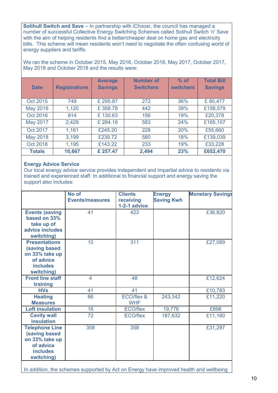**Solihull Switch and Save** – In partnership with iChoosr, the council has managed a number of successful Collective Energy Switching Schemes called Solihull Switch 'n' Save with the aim of helping residents find a better/cheaper deal on home gas and electricity bills. This scheme will mean residents won't need to negotiate the often confusing world of energy suppliers and tariffs.

We ran the scheme in October 2015, May 2016, October 2016, May 2017, October 2017, May 2018 and October 2018 and the results were:

| <b>Date</b>     | <b>Registrations</b> | <b>Average</b><br><b>Savings</b> | <b>Number of</b><br><b>Switchers</b> | $%$ of<br><b>switchers</b> | <b>Total Bill</b><br><b>Savings</b> |
|-----------------|----------------------|----------------------------------|--------------------------------------|----------------------------|-------------------------------------|
| Oct 2015        | 749                  | £295.87                          | 272                                  | 36%                        | £80,477                             |
| <b>May 2016</b> | 1,120                | £358.78                          | 442                                  | 39%                        | £158,579                            |
| Oct 2016        | 814                  | £130.63                          | 156                                  | 19%                        | £20,378                             |
| May 2017        | 2,429                | £284.18                          | 583                                  | 24%                        | £165,107                            |
| Oct 2017        | 1,161                | £245.20                          | 228                                  | 20%                        | £55,660                             |
| <b>May 2018</b> | 3,199                | £239.72                          | 580                                  | 18%                        | £139,039                            |
| Oct 2018        | 1,195                | £143.22                          | 233                                  | 19%                        | £33,228                             |
| <b>Totals</b>   | 10,667               | £257.47                          | 2,494                                | 23%                        | £652,470                            |

#### **Energy Advice Service**

Our local energy advice service provides independent and impartial advice to residents via trained and experienced staff. In additional to financial support and energy saving the support also includes:

|                                                                                                        | No of<br><b>Events/measures</b> | <b>Clients</b><br>receiving<br>1-2-1 advice | <b>Energy</b><br><b>Saving Kwh</b> | <b>Monetary Savings</b> |
|--------------------------------------------------------------------------------------------------------|---------------------------------|---------------------------------------------|------------------------------------|-------------------------|
| <b>Events (saving</b><br>based on 33%<br>take up of<br>advice includes<br>switching)                   | 41                              | 423                                         |                                    | £36,820                 |
| <b>Presentations</b><br>(saving based<br>on 33% take up<br>of advice<br><b>includes</b><br>switching)  | 10                              | 311                                         |                                    | £27,089                 |
| <b>Front line staff</b><br>training                                                                    | $\overline{4}$                  | 48                                          |                                    | £12,624                 |
| <b>HVs</b>                                                                                             | 41                              | 41                                          |                                    | £10,783                 |
| <b>Heating</b><br><b>Measures</b>                                                                      | 66                              | ECO/flex &<br><b>WHF</b>                    | 243,342                            | £11,220                 |
| <b>Loft insulation</b>                                                                                 | 16                              | <b>ECO/flex</b>                             | 19,776                             | £896                    |
| <b>Cavity wall</b><br><b>insulation</b>                                                                | 72                              | <b>ECO/flex</b>                             | 187,632                            | £11,160                 |
| <b>Telephone Line</b><br>(saving based<br>on 33% take up<br>of advice<br><b>includes</b><br>switching) | 358                             | 358                                         |                                    | £31,297                 |

In addition, the schemes supported by Act on Energy have improved health and wellbeing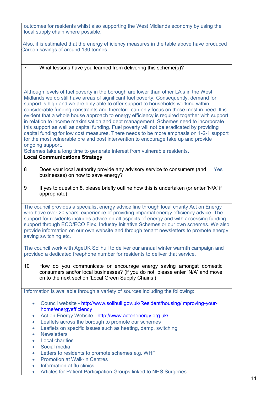|                | outcomes for residents whilst also supporting the West Midlands economy by using the<br>local supply chain where possible.                                                          |
|----------------|-------------------------------------------------------------------------------------------------------------------------------------------------------------------------------------|
|                |                                                                                                                                                                                     |
|                | Also, it is estimated that the energy efficiency measures in the table above have produced                                                                                          |
|                | Carbon savings of around 130 tonnes.                                                                                                                                                |
|                |                                                                                                                                                                                     |
| $\overline{7}$ | What lessons have you learned from delivering this scheme(s)?                                                                                                                       |
|                |                                                                                                                                                                                     |
|                |                                                                                                                                                                                     |
|                |                                                                                                                                                                                     |
|                | Although levels of fuel poverty in the borough are lower than other LA's in the West<br>Midlands we do still have areas of significant fuel poverty. Consequently, demand for       |
|                | support is high and we are only able to offer support to households working within                                                                                                  |
|                | considerable funding constraints and therefore can only focus on those most in need. It is                                                                                          |
|                | evident that a whole house approach to energy efficiency is required together with support                                                                                          |
|                | in relation to income maximisation and debt management. Schemes need to incorporate                                                                                                 |
|                | this support as well as capital funding. Fuel poverty will not be eradicated by providing                                                                                           |
|                | capital funding for low cost measures. There needs to be more emphasis on 1-2-1 support<br>for the most vulnerable pre and post intervention to encourage take up and provide       |
|                | ongoing support.                                                                                                                                                                    |
|                | Schemes take a long time to generate interest from vulnerable residents.                                                                                                            |
|                | <b>Local Communications Strategy</b>                                                                                                                                                |
| 8              | Does your local authority provide any advisory service to consumers (and<br><b>Yes</b>                                                                                              |
|                | businesses) on how to save energy?                                                                                                                                                  |
|                |                                                                                                                                                                                     |
| 9              | If yes to question 8, please briefly outline how this is undertaken (or enter 'N/A' if                                                                                              |
|                | appropriate)                                                                                                                                                                        |
|                |                                                                                                                                                                                     |
|                | The council provides a specialist energy advice line through local charity Act on Energy<br>who have over 20 years' experience of providing impartial energy efficiency advice. The |
|                | support for residents includes advice on all aspects of energy and with accessing funding                                                                                           |
|                | support through ECO/ECO Flex, Industry Initiative Schemes or our own schemes. We also                                                                                               |
|                | provide information on our own website and through tenant newsletters to promote energy                                                                                             |
|                | saving switching etc.                                                                                                                                                               |
|                | The council work with AgeUK Solihull to deliver our annual winter warmth campaign and                                                                                               |
|                | provided a dedicated freephone number for residents to deliver that service.                                                                                                        |
|                |                                                                                                                                                                                     |
| 10             | How do you communicate or encourage energy saving amongst domestic                                                                                                                  |
|                | consumers and/or local businesses? (if you do not, please enter 'N/A' and move                                                                                                      |
|                | on to the next section 'Local Green Supply Chains')                                                                                                                                 |
|                | Information is available through a variety of sources including the following:                                                                                                      |
|                |                                                                                                                                                                                     |
| $\bullet$      | Council website - http://www.solihull.gov.uk/Resident/housing/Improving-your-                                                                                                       |
|                | home/energyefficiency                                                                                                                                                               |
| $\bullet$      | Act on Energy Website - http://www.actonenergy.org.uk/                                                                                                                              |
| $\bullet$      | Leaflets across the borough to promote our schemes                                                                                                                                  |
| $\bullet$      | Leaflets on specific issues such as heating, damp, switching                                                                                                                        |
| $\bullet$      | <b>Newsletters</b><br><b>Local charities</b>                                                                                                                                        |
| $\bullet$      | Social media                                                                                                                                                                        |
| $\bullet$      | Letters to residents to promote schemes e.g. WHF                                                                                                                                    |
| $\bullet$      | <b>Promotion at Walk-in Centres</b>                                                                                                                                                 |
| $\bullet$      | Information at flu clinics                                                                                                                                                          |
| $\bullet$      | Articles for Patient Participation Groups linked to NHS Surgeries                                                                                                                   |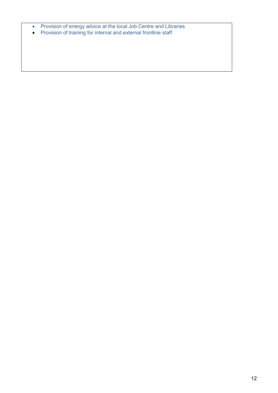- Provision of energy advice at the local Job Centre and Libraries
- Provision of training for internal and external frontline staff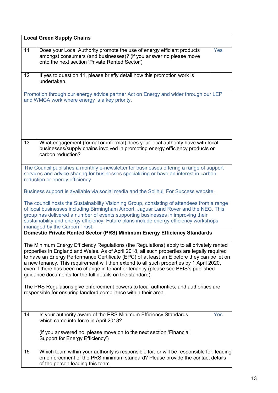|                                                                                                                                                                                                                                                                                                                                                                                                                                                                                                                                                                                                                                                                                                   | <b>Local Green Supply Chains</b>                                                                                                                                                                                                                                                                                                                                                                 |  |  |
|---------------------------------------------------------------------------------------------------------------------------------------------------------------------------------------------------------------------------------------------------------------------------------------------------------------------------------------------------------------------------------------------------------------------------------------------------------------------------------------------------------------------------------------------------------------------------------------------------------------------------------------------------------------------------------------------------|--------------------------------------------------------------------------------------------------------------------------------------------------------------------------------------------------------------------------------------------------------------------------------------------------------------------------------------------------------------------------------------------------|--|--|
| 11                                                                                                                                                                                                                                                                                                                                                                                                                                                                                                                                                                                                                                                                                                | Does your Local Authority promote the use of energy efficient products<br>Yes<br>amongst consumers (and businesses)? (if you answer no please move<br>onto the next section 'Private Rented Sector')                                                                                                                                                                                             |  |  |
| 12                                                                                                                                                                                                                                                                                                                                                                                                                                                                                                                                                                                                                                                                                                | If yes to question 11, please briefly detail how this promotion work is<br>undertaken.                                                                                                                                                                                                                                                                                                           |  |  |
|                                                                                                                                                                                                                                                                                                                                                                                                                                                                                                                                                                                                                                                                                                   | Promotion through our energy advice partner Act on Energy and wider through our LEP<br>and WMCA work where energy is a key priority.                                                                                                                                                                                                                                                             |  |  |
| 13                                                                                                                                                                                                                                                                                                                                                                                                                                                                                                                                                                                                                                                                                                | What engagement (formal or informal) does your local authority have with local<br>businesses/supply chains involved in promoting energy efficiency products or<br>carbon reduction?                                                                                                                                                                                                              |  |  |
|                                                                                                                                                                                                                                                                                                                                                                                                                                                                                                                                                                                                                                                                                                   | The Council publishes a monthly e-newsletter for businesses offering a range of support<br>services and advice sharing for businesses specializing or have an interest in carbon<br>reduction or energy efficiency.                                                                                                                                                                              |  |  |
|                                                                                                                                                                                                                                                                                                                                                                                                                                                                                                                                                                                                                                                                                                   | Business support is available via social media and the Solihull For Success website.                                                                                                                                                                                                                                                                                                             |  |  |
|                                                                                                                                                                                                                                                                                                                                                                                                                                                                                                                                                                                                                                                                                                   | The council hosts the Sustainability Visioning Group, consisting of attendees from a range<br>of local businesses including Birmingham Airport, Jaguar Land Rover and the NEC. This<br>group has delivered a number of events supporting businesses in improving their<br>sustainability and energy efficiency. Future plans include energy efficiency workshops<br>managed by the Carbon Trust. |  |  |
|                                                                                                                                                                                                                                                                                                                                                                                                                                                                                                                                                                                                                                                                                                   | Domestic Private Rented Sector (PRS) Minimum Energy Efficiency Standards                                                                                                                                                                                                                                                                                                                         |  |  |
| The Minimum Energy Efficiency Regulations (the Regulations) apply to all privately rented<br>properties in England and Wales. As of April 2018, all such properties are legally required<br>to have an Energy Performance Certificate (EPC) of at least an E before they can be let on<br>a new tenancy. This requirement will then extend to all such properties by 1 April 2020,<br>even if there has been no change in tenant or tenancy (please see BEIS's published<br>guidance documents for the full details on the standard).<br>The PRS Regulations give enforcement powers to local authorities, and authorities are<br>responsible for ensuring landlord compliance within their area. |                                                                                                                                                                                                                                                                                                                                                                                                  |  |  |
| 14                                                                                                                                                                                                                                                                                                                                                                                                                                                                                                                                                                                                                                                                                                | Is your authority aware of the PRS Minimum Efficiency Standards<br>Yes<br>which came into force in April 2018?                                                                                                                                                                                                                                                                                   |  |  |
|                                                                                                                                                                                                                                                                                                                                                                                                                                                                                                                                                                                                                                                                                                   | (if you answered no, please move on to the next section 'Financial<br>Support for Energy Efficiency')                                                                                                                                                                                                                                                                                            |  |  |
| 15                                                                                                                                                                                                                                                                                                                                                                                                                                                                                                                                                                                                                                                                                                | Which team within your authority is responsible for, or will be responsible for, leading<br>on enforcement of the PRS minimum standard? Please provide the contact details<br>of the person leading this team.                                                                                                                                                                                   |  |  |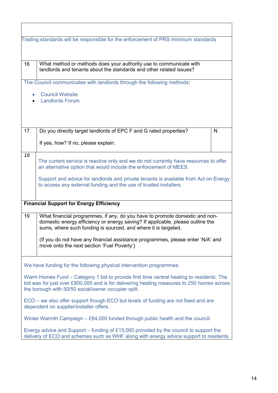|                                                                                                                                                                                                                                              | Trading standards will be responsible for the enforcement of PRS minimum standards                                                                                                                                                                                                                                                                               |   |  |
|----------------------------------------------------------------------------------------------------------------------------------------------------------------------------------------------------------------------------------------------|------------------------------------------------------------------------------------------------------------------------------------------------------------------------------------------------------------------------------------------------------------------------------------------------------------------------------------------------------------------|---|--|
| 16                                                                                                                                                                                                                                           | What method or methods does your authority use to communicate with<br>landlords and tenants about the standards and other related issues?                                                                                                                                                                                                                        |   |  |
|                                                                                                                                                                                                                                              | The Council communicates with landlords through the following methods:                                                                                                                                                                                                                                                                                           |   |  |
|                                                                                                                                                                                                                                              | <b>Council Website</b><br><b>Landlords Forum</b>                                                                                                                                                                                                                                                                                                                 |   |  |
| 17                                                                                                                                                                                                                                           | Do you directly target landlords of EPC F and G rated properties?                                                                                                                                                                                                                                                                                                | N |  |
|                                                                                                                                                                                                                                              | If yes, how? If no, please explain.                                                                                                                                                                                                                                                                                                                              |   |  |
| 18                                                                                                                                                                                                                                           | The current service is reactive only and we do not currently have resources to offer<br>an alternative option that would include the enforcement of MEES.                                                                                                                                                                                                        |   |  |
|                                                                                                                                                                                                                                              | Support and advice for landlords and private tenants is available from Act on Energy<br>to access any external funding and the use of trusted installers.                                                                                                                                                                                                        |   |  |
|                                                                                                                                                                                                                                              | <b>Financial Support for Energy Efficiency</b>                                                                                                                                                                                                                                                                                                                   |   |  |
| 19                                                                                                                                                                                                                                           | What financial programmes, if any, do you have to promote domestic and non-<br>domestic energy efficiency or energy saving? If applicable, please outline the<br>sums, where such funding is sourced, and where it is targeted.<br>(If you do not have any financial assistance programmes, please enter 'N/A' and<br>move onto the next section 'Fuel Poverty') |   |  |
|                                                                                                                                                                                                                                              |                                                                                                                                                                                                                                                                                                                                                                  |   |  |
|                                                                                                                                                                                                                                              | We have funding for the following physical intervention programmes:                                                                                                                                                                                                                                                                                              |   |  |
| Warm Homes Fund – Category 1 bid to provide first time central heating to residents. The<br>bid was for just over £900,000 and is for delivering heating measures to 250 homes across<br>the borough with 50/50 social/owner occupier split. |                                                                                                                                                                                                                                                                                                                                                                  |   |  |
| ECO – we also offer support though ECO but levels of funding are not fixed and are<br>dependent on supplier/installer offers.                                                                                                                |                                                                                                                                                                                                                                                                                                                                                                  |   |  |
| Winter Warmth Campaign $-$ £64,000 funded through public health and the council.                                                                                                                                                             |                                                                                                                                                                                                                                                                                                                                                                  |   |  |
|                                                                                                                                                                                                                                              | Energy advice and Support – funding of £15,000 provided by the council to support the<br>delivery of ECO and schemes such as WHF along with energy advice support to residents.                                                                                                                                                                                  |   |  |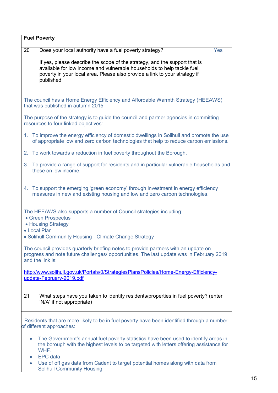|                                                                                                                | <b>Fuel Poverty</b>                                                                                                                                                                                                                              |     |  |
|----------------------------------------------------------------------------------------------------------------|--------------------------------------------------------------------------------------------------------------------------------------------------------------------------------------------------------------------------------------------------|-----|--|
| 20                                                                                                             | Does your local authority have a fuel poverty strategy?                                                                                                                                                                                          | Yes |  |
|                                                                                                                | If yes, please describe the scope of the strategy, and the support that is<br>available for low income and vulnerable households to help tackle fuel<br>poverty in your local area. Please also provide a link to your strategy if<br>published. |     |  |
|                                                                                                                | The council has a Home Energy Efficiency and Affordable Warmth Strategy (HEEAWS)<br>that was published in autumn 2015.                                                                                                                           |     |  |
|                                                                                                                | The purpose of the strategy is to guide the council and partner agencies in committing<br>resources to four linked objectives:                                                                                                                   |     |  |
|                                                                                                                | 1. To improve the energy efficiency of domestic dwellings in Solihull and promote the use<br>of appropriate low and zero carbon technologies that help to reduce carbon emissions.                                                               |     |  |
|                                                                                                                | 2. To work towards a reduction in fuel poverty throughout the Borough.                                                                                                                                                                           |     |  |
|                                                                                                                | 3. To provide a range of support for residents and in particular vulnerable households and<br>those on low income.                                                                                                                               |     |  |
|                                                                                                                | 4. To support the emerging 'green economy' through investment in energy efficiency<br>measures in new and existing housing and low and zero carbon technologies.                                                                                 |     |  |
| The HEEAWS also supports a number of Council strategies including:<br>• Green Prospectus<br>• Housing Strategy |                                                                                                                                                                                                                                                  |     |  |
|                                                                                                                | • Local Plan<br>• Solihull Community Housing - Climate Change Strategy                                                                                                                                                                           |     |  |
|                                                                                                                | The council provides quarterly briefing notes to provide partners with an update on<br>progress and note future challenges/ opportunities. The last update was in February 2019<br>and the link is:                                              |     |  |
|                                                                                                                | http://www.solihull.gov.uk/Portals/0/StrategiesPlansPolicies/Home-Energy-Efficiency-<br>update-February-2019.pdf                                                                                                                                 |     |  |
| 21                                                                                                             | What steps have you taken to identify residents/properties in fuel poverty? (enter<br>'N/A' if not appropriate)                                                                                                                                  |     |  |
|                                                                                                                | Residents that are more likely to be in fuel poverty have been identified through a number<br>of different approaches:                                                                                                                           |     |  |
| $\bullet$<br>$\bullet$                                                                                         | The Government's annual fuel poverty statistics have been used to identify areas in<br>the borough with the highest levels to be targeted with letters offering assistance for<br>WHF.<br><b>EPC</b> data                                        |     |  |
| $\bullet$                                                                                                      | Use of off gas data from Cadent to target potential homes along with data from<br><b>Solihull Community Housing</b>                                                                                                                              |     |  |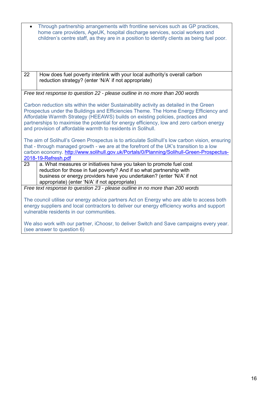|                                                                                                                                                                                                                                                                                                                                                                                                                                | Through partnership arrangements with frontline services such as GP practices,<br>home care providers, AgeUK, hospital discharge services, social workers and<br>children's centre staff, as they are in a position to identify clients as being fuel poor.                                                  |
|--------------------------------------------------------------------------------------------------------------------------------------------------------------------------------------------------------------------------------------------------------------------------------------------------------------------------------------------------------------------------------------------------------------------------------|--------------------------------------------------------------------------------------------------------------------------------------------------------------------------------------------------------------------------------------------------------------------------------------------------------------|
| 22                                                                                                                                                                                                                                                                                                                                                                                                                             | How does fuel poverty interlink with your local authority's overall carbon<br>reduction strategy? (enter 'N/A' if not appropriate)                                                                                                                                                                           |
|                                                                                                                                                                                                                                                                                                                                                                                                                                | Free text response to question 22 - please outline in no more than 200 words                                                                                                                                                                                                                                 |
| Carbon reduction sits within the wider Sustainability activity as detailed in the Green<br>Prospectus under the Buildings and Efficiencies Theme. The Home Energy Efficiency and<br>Affordable Warmth Strategy (HEEAWS) builds on existing policies, practices and<br>partnerships to maximise the potential for energy efficiency, low and zero carbon energy<br>and provision of affordable warmth to residents in Solihull. |                                                                                                                                                                                                                                                                                                              |
|                                                                                                                                                                                                                                                                                                                                                                                                                                | The aim of Solihull's Green Prospectus is to articulate Solihull's low carbon vision, ensuring<br>that - through managed growth - we are at the forefront of the UK's transition to a low<br>carbon economy. http://www.solihull.gov.uk/Portals/0/Planning/Solihull-Green-Prospectus-<br>2018-19-Refresh.pdf |
| 23                                                                                                                                                                                                                                                                                                                                                                                                                             | a. What measures or initiatives have you taken to promote fuel cost                                                                                                                                                                                                                                          |
|                                                                                                                                                                                                                                                                                                                                                                                                                                | reduction for those in fuel poverty? And if so what partnership with<br>business or energy providers have you undertaken? (enter 'N/A' if not                                                                                                                                                                |
|                                                                                                                                                                                                                                                                                                                                                                                                                                | appropriate) (enter 'N/A' if not appropriate)                                                                                                                                                                                                                                                                |
|                                                                                                                                                                                                                                                                                                                                                                                                                                | Free text response to question 23 - please outline in no more than 200 words                                                                                                                                                                                                                                 |
| The council utilise our energy advice partners Act on Energy who are able to access both<br>energy suppliers and local contractors to deliver our energy efficiency works and support<br>vulnerable residents in our communities.                                                                                                                                                                                              |                                                                                                                                                                                                                                                                                                              |
|                                                                                                                                                                                                                                                                                                                                                                                                                                | We also work with our partner, iChoosr, to deliver Switch and Save campaigns every year.<br>(see answer to question 6)                                                                                                                                                                                       |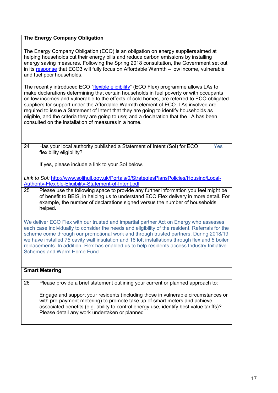## **The Energy Company Obligation**

The Energy Company Obligation (ECO) is an obligation on energy suppliersaimed at helping households cut their energy bills and reduce carbon emissions by installing energy saving measures. Following the Spring 2018 consultation, the Government set out in its [response](https://assets.publishing.service.gov.uk/government/uploads/system/uploads/attachment_data/file/727065/Energy_Company_Obligation_ECO3_2018-2022.pdf) that ECO3 will fully focus on Affordable Warmth – low income, vulnerable and fuel poor households.

The recently introduced ECO ["flexible eligibility"](https://www.gov.uk/government/publications/energy-company-obligation-eco-help-to-heat-scheme-flexible-eligibility) (ECO Flex) programme allows LAs to make declarations determining that certain households in fuel poverty or with occupants on low incomes and vulnerable to the effects of cold homes, are referred to ECO obligated suppliers for support under the Affordable Warmth element of ECO. LAs involved are required to issue a Statement of Intent that they are going to identify households as eligible, and the criteria they are going to use; and a declaration that the LA has been consulted on the installation of measures in a home.

| 24 | Has your local authority published a Statement of Intent (SoI) for ECO |  |
|----|------------------------------------------------------------------------|--|
|    | flexibility eligibility?                                               |  |

Yes

If yes, please include a link to your SoI below.

*Link to SoI:* [http://www.solihull.gov.uk/Portals/0/StrategiesPlansPolicies/Housing/Local-](http://www.solihull.gov.uk/Portals/0/StrategiesPlansPolicies/Housing/Local-Authority-Flexible-Eligibility-Statement-of-Intent.pdf)[Authority-Flexible-Eligibility-Statement-of-Intent.pdf](http://www.solihull.gov.uk/Portals/0/StrategiesPlansPolicies/Housing/Local-Authority-Flexible-Eligibility-Statement-of-Intent.pdf)

25 Please use the following space to provide any further information you feel might be of benefit to BEIS, in helping us to understand ECO Flex delivery in more detail. For example, the number of declarations signed versus the number of households helped.

We deliver ECO Flex with our trusted and impartial partner Act on Energy who assesses each case individually to consider the needs and eligibility of the resident. Referrals for the scheme come through our promotional work and through trusted partners. During 2018/19 we have installed 75 cavity wall insulation and 16 loft installations through flex and 5 boiler replacements. In addition, Flex has enabled us to help residents access Industry Initiative Schemes and Warm Home Fund.

## **Smart Metering**

26 Please provide a brief statement outlining your current or planned approach to: Engage and support your residents (including those in vulnerable circumstances or with pre-payment metering) to promote take up of smart meters and achieve associated benefits (e.g. ability to control energy use, identify best value tariffs)? Please detail any work undertaken or planned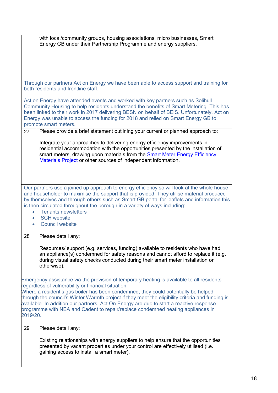|                                                                                                                                                                                                                                                                                                                                                                                                                                                                                                                                      | with local/community groups, housing associations, micro businesses, Smart<br>Energy GB under their Partnership Programme and energy suppliers.                                                                                                                                                                 |  |
|--------------------------------------------------------------------------------------------------------------------------------------------------------------------------------------------------------------------------------------------------------------------------------------------------------------------------------------------------------------------------------------------------------------------------------------------------------------------------------------------------------------------------------------|-----------------------------------------------------------------------------------------------------------------------------------------------------------------------------------------------------------------------------------------------------------------------------------------------------------------|--|
|                                                                                                                                                                                                                                                                                                                                                                                                                                                                                                                                      |                                                                                                                                                                                                                                                                                                                 |  |
| Through our partners Act on Energy we have been able to access support and training for<br>both residents and frontline staff.                                                                                                                                                                                                                                                                                                                                                                                                       |                                                                                                                                                                                                                                                                                                                 |  |
| Act on Energy have attended events and worked with key partners such as Solihull<br>Community Housing to help residents understand the benefits of Smart Metering. This has<br>been linked to their work in 2017 delivering BESN on behalf of BEIS. Unfortunately, Act on<br>Energy was unable to access the funding for 2018 and relied on Smart Energy GB to<br>promote smart meters.                                                                                                                                              |                                                                                                                                                                                                                                                                                                                 |  |
| 27                                                                                                                                                                                                                                                                                                                                                                                                                                                                                                                                   | Please provide a brief statement outlining your current or planned approach to:                                                                                                                                                                                                                                 |  |
|                                                                                                                                                                                                                                                                                                                                                                                                                                                                                                                                      | Integrate your approaches to delivering energy efficiency improvements in<br>residential accommodation with the opportunities presented by the installation of<br>smart meters, drawing upon materials from the Smart Meter Energy Efficiency<br>Materials Project or other sources of independent information. |  |
| Our partners use a joined up approach to energy efficiency so will look at the whole house<br>and householder to maximise the support that is provided. They utilise material produced<br>by themselves and through others such as Smart GB portal for leaflets and information this<br>is then circulated throughout the borough in a variety of ways including:<br><b>Tenants newsletters</b><br><b>SCH website</b><br><b>Council website</b>                                                                                      |                                                                                                                                                                                                                                                                                                                 |  |
| 28                                                                                                                                                                                                                                                                                                                                                                                                                                                                                                                                   | Please detail any:                                                                                                                                                                                                                                                                                              |  |
|                                                                                                                                                                                                                                                                                                                                                                                                                                                                                                                                      | Resources/ support (e.g. services, funding) available to residents who have had<br>an appliance(s) condemned for safety reasons and cannot afford to replace it (e.g.<br>during visual safety checks conducted during their smart meter installation or<br>otherwise).                                          |  |
| Emergency assistance via the provision of temporary heating is available to all residents<br>regardless of vulnerability or financial situation.<br>Where a resident's gas boiler has been condemned, they could potentially be helped<br>through the council's Winter Warmth project if they meet the eligibility criteria and funding is<br>available. In addition our partners, Act On Energy are due to start a reactive response<br>programme with NEA and Cadent to repair/replace condemned heating appliances in<br>2019/20. |                                                                                                                                                                                                                                                                                                                 |  |
| 29                                                                                                                                                                                                                                                                                                                                                                                                                                                                                                                                   | Please detail any:                                                                                                                                                                                                                                                                                              |  |
|                                                                                                                                                                                                                                                                                                                                                                                                                                                                                                                                      | Existing relationships with energy suppliers to help ensure that the opportunities<br>presented by vacant properties under your control are effectively utilised (i.e.<br>gaining access to install a smart meter).                                                                                             |  |